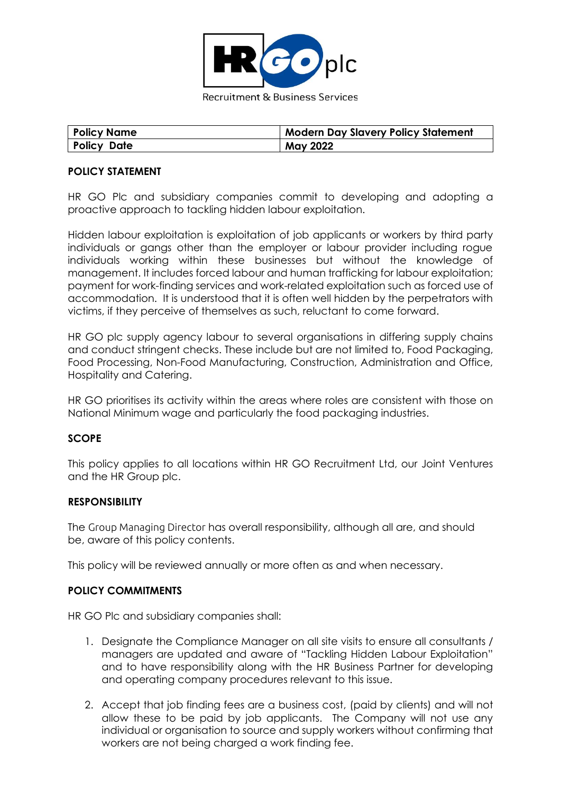

| <b>Policy Name</b> | Modern Day Slavery Policy Statement |
|--------------------|-------------------------------------|
| <b>Policy Date</b> | <b>May 2022</b>                     |

## **POLICY STATEMENT**

HR GO Plc and subsidiary companies commit to developing and adopting a proactive approach to tackling hidden labour exploitation.

Hidden labour exploitation is exploitation of job applicants or workers by third party individuals or gangs other than the employer or labour provider including rogue individuals working within these businesses but without the knowledge of management. It includes forced labour and human trafficking for labour exploitation; payment for work-finding services and work-related exploitation such as forced use of accommodation. It is understood that it is often well hidden by the perpetrators with victims, if they perceive of themselves as such, reluctant to come forward.

HR GO plc supply agency labour to several organisations in differing supply chains and conduct stringent checks. These include but are not limited to, Food Packaging, Food Processing, Non-Food Manufacturing, Construction, Administration and Office, Hospitality and Catering.

HR GO prioritises its activity within the areas where roles are consistent with those on National Minimum wage and particularly the food packaging industries.

## **SCOPE**

This policy applies to all locations within HR GO Recruitment Ltd, our Joint Ventures and the HR Group plc.

## **RESPONSIBILITY**

The Group Managing Director has overall responsibility, although all are, and should be, aware of this policy contents.

This policy will be reviewed annually or more often as and when necessary.

## **POLICY COMMITMENTS**

HR GO Plc and subsidiary companies shall:

- 1. Designate the Compliance Manager on all site visits to ensure all consultants / managers are updated and aware of "Tackling Hidden Labour Exploitation" and to have responsibility along with the HR Business Partner for developing and operating company procedures relevant to this issue.
- 2. Accept that job finding fees are a business cost, (paid by clients) and will not allow these to be paid by job applicants. The Company will not use any individual or organisation to source and supply workers without confirming that workers are not being charged a work finding fee.